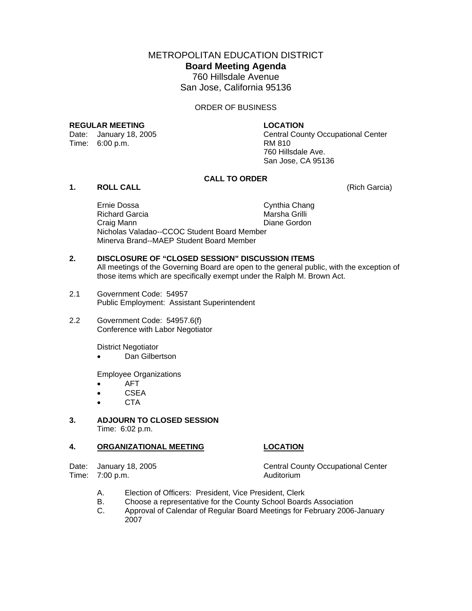METROPOLITAN EDUCATION DISTRICT **Board Meeting Agenda**  760 Hillsdale Avenue San Jose, California 95136

ORDER OF BUSINESS

#### **REGULAR MEETING LOCATION**

Time: 6:00 p.m. **RM 810** 

Date: January 18, 2005 Central County Occupational Center 760 Hillsdale Ave. San Jose, CA 95136

## **CALL TO ORDER**

## **1. ROLL CALL** (Rich Garcia)

Ernie Dossa Cynthia Chang Richard Garcia **Marsha Grilli**  Craig Mann Diane Gordon Nicholas Valadao--CCOC Student Board Member Minerva Brand--MAEP Student Board Member

# **2. DISCLOSURE OF "CLOSED SESSION" DISCUSSION ITEMS**

All meetings of the Governing Board are open to the general public, with the exception of those items which are specifically exempt under the Ralph M. Brown Act.

- 2.1 Government Code: 54957 Public Employment: Assistant Superintendent
- 2.2 Government Code: 54957.6(f) Conference with Labor Negotiator

District Negotiator

Dan Gilbertson

Employee Organizations

- AFT
- CSEA
- CTA

#### **3. ADJOURN TO CLOSED SESSION**  Time: 6:02 p.m.

#### **4. ORGANIZATIONAL MEETING LOCATION**

Date: January 18, 2005 Central County Occupational Center Time: 7:00 p.m.

- A. Election of Officers: President, Vice President, Clerk
- B. Choose a representative for the County School Boards Association<br>C. Approval of Calendar of Regular Board Meetings for February 2006
- Approval of Calendar of Regular Board Meetings for February 2006-January 2007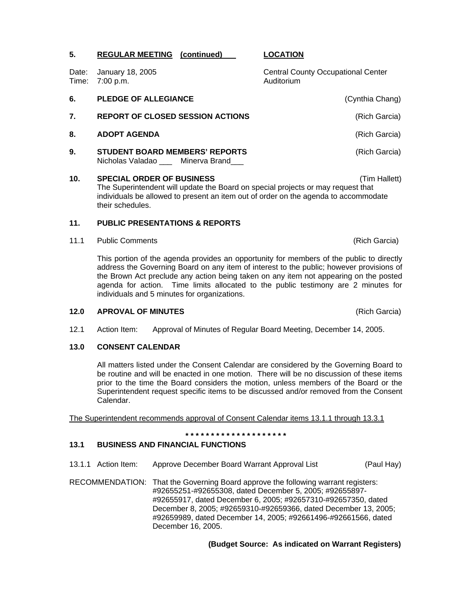|    | Date: January 18, 2005<br>Time: 7:00 p.m.                                      | <b>Central County Occupational Center</b><br>Auditorium |  |  |  |
|----|--------------------------------------------------------------------------------|---------------------------------------------------------|--|--|--|
| 6. | <b>PLEDGE OF ALLEGIANCE</b>                                                    | (Cynthia Chang)                                         |  |  |  |
| 7. | <b>REPORT OF CLOSED SESSION ACTIONS</b>                                        | (Rich Garcia)                                           |  |  |  |
| 8. | <b>ADOPT AGENDA</b>                                                            | (Rich Garcia)                                           |  |  |  |
| 9. | <b>STUDENT BOARD MEMBERS' REPORTS</b><br>Nicholas Valadao ___ Minerva Brand___ | (Rich Garcia)                                           |  |  |  |

**5. REGULAR MEETING (continued) LOCATION**

**10. SPECIAL ORDER OF BUSINESS** (Tim Hallett) The Superintendent will update the Board on special projects or may request that individuals be allowed to present an item out of order on the agenda to accommodate their schedules.

## **11. PUBLIC PRESENTATIONS & REPORTS**

11.1 Public Comments **(Rich Garcia) (Rich Garcia) (Rich Garcia)** 

This portion of the agenda provides an opportunity for members of the public to directly address the Governing Board on any item of interest to the public; however provisions of the Brown Act preclude any action being taken on any item not appearing on the posted agenda for action. Time limits allocated to the public testimony are 2 minutes for individuals and 5 minutes for organizations.

## **12.0 APROVAL OF MINUTES** (Rich Garcia)

12.1 Action Item: Approval of Minutes of Regular Board Meeting, December 14, 2005.

## **13.0 CONSENT CALENDAR**

All matters listed under the Consent Calendar are considered by the Governing Board to be routine and will be enacted in one motion. There will be no discussion of these items prior to the time the Board considers the motion, unless members of the Board or the Superintendent request specific items to be discussed and/or removed from the Consent Calendar.

The Superintendent recommends approval of Consent Calendar items 13.1.1 through 13.3.1

**\* \* \* \* \* \* \* \* \* \* \* \* \* \* \* \* \* \* \* \*** 

# **13.1 BUSINESS AND FINANCIAL FUNCTIONS**

- 13.1.1 Action Item: Approve December Board Warrant Approval List (Paul Hay)
- RECOMMENDATION: That the Governing Board approve the following warrant registers: #92655251-#92655308, dated December 5, 2005; #92655897- #92655917, dated December 6, 2005; #92657310-#92657350, dated December 8, 2005; #92659310-#92659366, dated December 13, 2005; #92659989, dated December 14, 2005; #92661496-#92661566, dated December 16, 2005.

 **(Budget Source: As indicated on Warrant Registers)**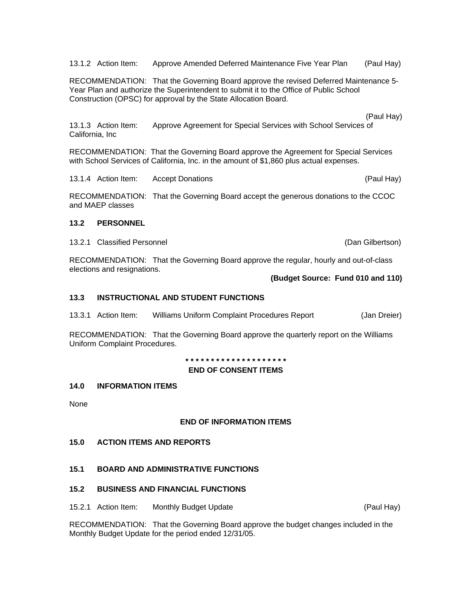13.1.2 Action Item: Approve Amended Deferred Maintenance Five Year Plan (Paul Hay)

RECOMMENDATION: That the Governing Board approve the revised Deferred Maintenance 5- Year Plan and authorize the Superintendent to submit it to the Office of Public School Construction (OPSC) for approval by the State Allocation Board.

(Paul Hay)

13.1.3 Action Item: Approve Agreement for Special Services with School Services of California, Inc

RECOMMENDATION: That the Governing Board approve the Agreement for Special Services with School Services of California, Inc. in the amount of \$1,860 plus actual expenses.

13.1.4 Action Item: Accept Donations (Paul Hay)

RECOMMENDATION: That the Governing Board accept the generous donations to the CCOC and MAEP classes

## **13.2 PERSONNEL**

13.2.1 Classified Personnel (Dan Gilbertson)

RECOMMENDATION: That the Governing Board approve the regular, hourly and out-of-class elections and resignations.

## **(Budget Source: Fund 010 and 110)**

## **13.3 INSTRUCTIONAL AND STUDENT FUNCTIONS**

13.3.1 Action Item: Williams Uniform Complaint Procedures Report (Jan Dreier)

RECOMMENDATION: That the Governing Board approve the quarterly report on the Williams Uniform Complaint Procedures.

**\* \* \* \* \* \* \* \* \* \* \* \* \* \* \* \* \* \* \* \*** 

## **END OF CONSENT ITEMS**

## **14.0 INFORMATION ITEMS**

None

# **END OF INFORMATION ITEMS**

## **15.0 ACTION ITEMS AND REPORTS**

# **15.1 BOARD AND ADMINISTRATIVE FUNCTIONS**

## **15.2 BUSINESS AND FINANCIAL FUNCTIONS**

15.2.1 Action Item: Monthly Budget Update (Paul Hay)

RECOMMENDATION: That the Governing Board approve the budget changes included in the Monthly Budget Update for the period ended 12/31/05.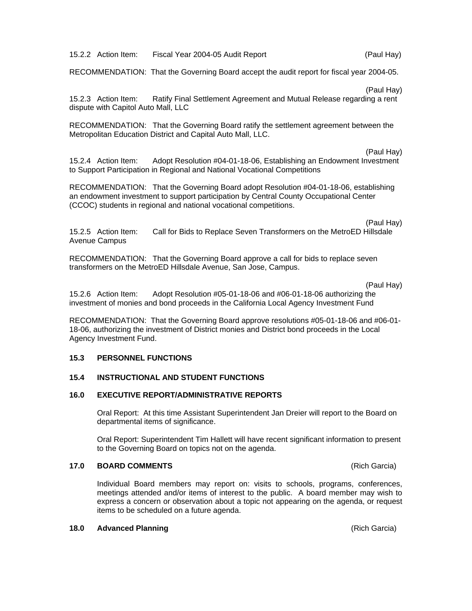15.2.2 Action Item: Fiscal Year 2004-05 Audit Report (Paul Hay)

RECOMMENDATION: That the Governing Board accept the audit report for fiscal year 2004-05.

(Paul Hay)

15.2.3 Action Item: Ratify Final Settlement Agreement and Mutual Release regarding a rent dispute with Capitol Auto Mall, LLC

RECOMMENDATION: That the Governing Board ratify the settlement agreement between the Metropolitan Education District and Capital Auto Mall, LLC.

(Paul Hay)

15.2.4 Action Item: Adopt Resolution #04-01-18-06, Establishing an Endowment Investment to Support Participation in Regional and National Vocational Competitions

RECOMMENDATION: That the Governing Board adopt Resolution #04-01-18-06, establishing an endowment investment to support participation by Central County Occupational Center (CCOC) students in regional and national vocational competitions.

(Paul Hay)

15.2.5 Action Item: Call for Bids to Replace Seven Transformers on the MetroED Hillsdale Avenue Campus

RECOMMENDATION: That the Governing Board approve a call for bids to replace seven transformers on the MetroED Hillsdale Avenue, San Jose, Campus.

(Paul Hay)

15.2.6 Action Item: Adopt Resolution #05-01-18-06 and #06-01-18-06 authorizing the investment of monies and bond proceeds in the California Local Agency Investment Fund

RECOMMENDATION: That the Governing Board approve resolutions #05-01-18-06 and #06-01- 18-06, authorizing the investment of District monies and District bond proceeds in the Local Agency Investment Fund.

## **15.3 PERSONNEL FUNCTIONS**

# **15.4 INSTRUCTIONAL AND STUDENT FUNCTIONS**

#### **16.0 EXECUTIVE REPORT/ADMINISTRATIVE REPORTS**

Oral Report: At this time Assistant Superintendent Jan Dreier will report to the Board on departmental items of significance.

Oral Report: Superintendent Tim Hallett will have recent significant information to present to the Governing Board on topics not on the agenda.

#### **17.0 BOARD COMMENTS** (Rich Garcia)

Individual Board members may report on: visits to schools, programs, conferences, meetings attended and/or items of interest to the public. A board member may wish to express a concern or observation about a topic not appearing on the agenda, or request items to be scheduled on a future agenda.

#### **18.0 Advanced Planning** (Rich Garcia)